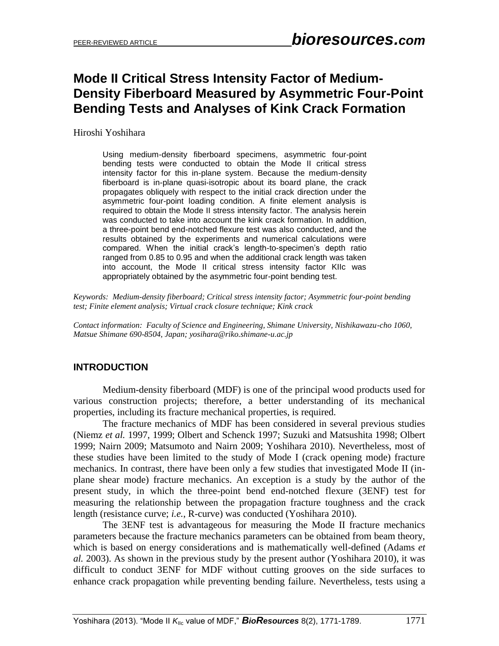# **Mode II Critical Stress Intensity Factor of Medium-Density Fiberboard Measured by Asymmetric Four-Point Bending Tests and Analyses of Kink Crack Formation**

Hiroshi Yoshihara

Using medium-density fiberboard specimens, asymmetric four-point bending tests were conducted to obtain the Mode II critical stress intensity factor for this in-plane system. Because the medium-density fiberboard is in-plane quasi-isotropic about its board plane, the crack propagates obliquely with respect to the initial crack direction under the asymmetric four-point loading condition. A finite element analysis is required to obtain the Mode II stress intensity factor. The analysis herein was conducted to take into account the kink crack formation. In addition, a three-point bend end-notched flexure test was also conducted, and the results obtained by the experiments and numerical calculations were compared. When the initial crack's length-to-specimen's depth ratio ranged from 0.85 to 0.95 and when the additional crack length was taken into account, the Mode II critical stress intensity factor KIIc was appropriately obtained by the asymmetric four-point bending test.

*Keywords: Medium-density fiberboard; Critical stress intensity factor; Asymmetric four-point bending test; Finite element analysis; Virtual crack closure technique; Kink crack*

*Contact information: Faculty of Science and Engineering, Shimane University, Nishikawazu-cho 1060, Matsue Shimane 690-8504, Japan; yosihara@riko.shimane-u.ac.jp*

## **INTRODUCTION**

Medium-density fiberboard (MDF) is one of the principal wood products used for various construction projects; therefore, a better understanding of its mechanical properties, including its fracture mechanical properties, is required.

The fracture mechanics of MDF has been considered in several previous studies (Niemz *et al.* 1997, 1999; Olbert and Schenck 1997; Suzuki and Matsushita 1998; Olbert 1999; Nairn 2009; Matsumoto and Nairn 2009; Yoshihara 2010). Nevertheless, most of these studies have been limited to the study of Mode I (crack opening mode) fracture mechanics. In contrast, there have been only a few studies that investigated Mode II (inplane shear mode) fracture mechanics. An exception is a study by the author of the present study, in which the three-point bend end-notched flexure (3ENF) test for measuring the relationship between the propagation fracture toughness and the crack length (resistance curve; *i.e.*, R-curve) was conducted (Yoshihara 2010).

The 3ENF test is advantageous for measuring the Mode II fracture mechanics parameters because the fracture mechanics parameters can be obtained from beam theory, which is based on energy considerations and is mathematically well-defined (Adams *et al.* 2003). As shown in the previous study by the present author (Yoshihara 2010), it was difficult to conduct 3ENF for MDF without cutting grooves on the side surfaces to enhance crack propagation while preventing bending failure. Nevertheless, tests using a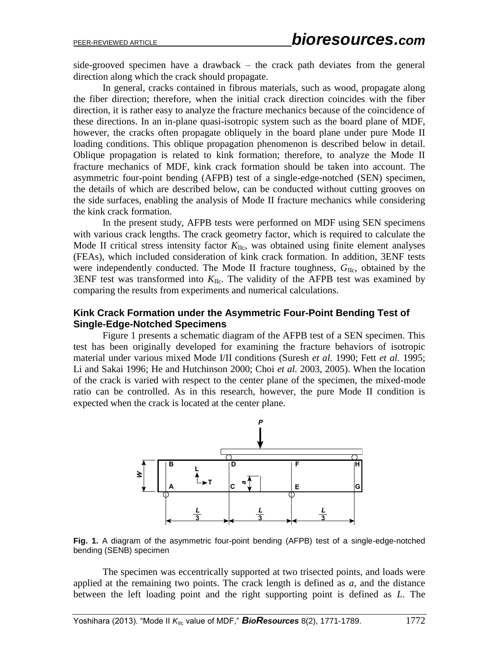side-grooved specimen have a drawback – the crack path deviates from the general direction along which the crack should propagate.

In general, cracks contained in fibrous materials, such as wood, propagate along the fiber direction; therefore, when the initial crack direction coincides with the fiber direction, it is rather easy to analyze the fracture mechanics because of the coincidence of these directions. In an in-plane quasi-isotropic system such as the board plane of MDF, however, the cracks often propagate obliquely in the board plane under pure Mode II loading conditions. This oblique propagation phenomenon is described below in detail. Oblique propagation is related to kink formation; therefore, to analyze the Mode II fracture mechanics of MDF, kink crack formation should be taken into account. The asymmetric four-point bending (AFPB) test of a single-edge-notched (SEN) specimen, the details of which are described below, can be conducted without cutting grooves on the side surfaces, enabling the analysis of Mode II fracture mechanics while considering the kink crack formation.

In the present study, AFPB tests were performed on MDF using SEN specimens with various crack lengths. The crack geometry factor, which is required to calculate the Mode II critical stress intensity factor  $K_{\text{IIc}}$ , was obtained using finite element analyses (FEAs), which included consideration of kink crack formation. In addition, 3ENF tests were independently conducted. The Mode II fracture toughness,  $G_{\text{IIc}}$ , obtained by the 3ENF test was transformed into  $K_{\text{IIc}}$ . The validity of the AFPB test was examined by comparing the results from experiments and numerical calculations.

### **Kink Crack Formation under the Asymmetric Four-Point Bending Test of Single-Edge-Notched Specimens**

Figure 1 presents a schematic diagram of the AFPB test of a SEN specimen. This test has been originally developed for examining the fracture behaviors of isotropic material under various mixed Mode I/II conditions (Suresh *et al.* 1990; Fett *et al.* 1995; Li and Sakai 1996; He and Hutchinson 2000; Choi *et al.* 2003, 2005). When the location of the crack is varied with respect to the center plane of the specimen, the mixed-mode ratio can be controlled. As in this research, however, the pure Mode II condition is expected when the crack is located at the center plane.



**Fig. 1.** A diagram of the asymmetric four-point bending (AFPB) test of a single-edge-notched bending (SENB) specimen

The specimen was eccentrically supported at two trisected points, and loads were applied at the remaining two points. The crack length is defined as *a*, and the distance between the left loading point and the right supporting point is defined as *L*. The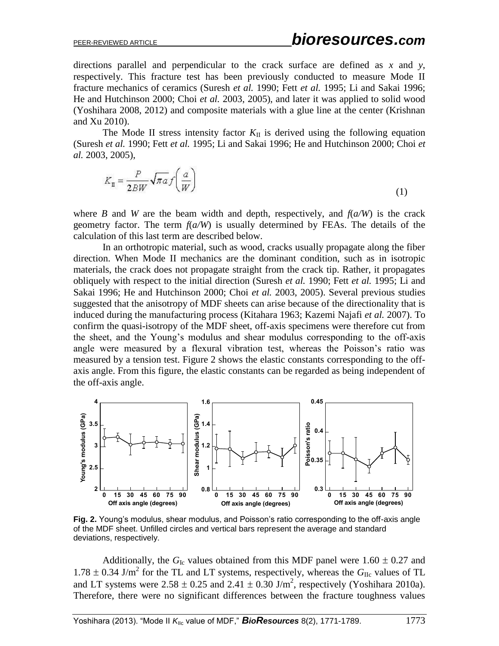directions parallel and perpendicular to the crack surface are defined as *x* and *y*, respectively. This fracture test has been previously conducted to measure Mode II fracture mechanics of ceramics (Suresh *et al.* 1990; Fett *et al.* 1995; Li and Sakai 1996; He and Hutchinson 2000; Choi *et al.* 2003, 2005), and later it was applied to solid wood (Yoshihara 2008, 2012) and composite materials with a glue line at the center (Krishnan and Xu 2010).

The Mode II stress intensity factor  $K_{II}$  is derived using the following equation (Suresh *et al.* 1990; Fett *et al.* 1995; Li and Sakai 1996; He and Hutchinson 2000; Choi *et al.* 2003, 2005),

$$
K_{\mathbf{I}} = \frac{P}{2BW} \sqrt{\pi a} f\left(\frac{a}{W}\right) \tag{1}
$$

where *B* and *W* are the beam width and depth, respectively, and  $f(a/W)$  is the crack geometry factor. The term  $f(a/W)$  is usually determined by FEAs. The details of the calculation of this last term are described below.

In an orthotropic material, such as wood, cracks usually propagate along the fiber direction. When Mode II mechanics are the dominant condition, such as in isotropic materials, the crack does not propagate straight from the crack tip. Rather, it propagates obliquely with respect to the initial direction (Suresh *et al.* 1990; Fett *et al.* 1995; Li and Sakai 1996; He and Hutchinson 2000; Choi *et al.* 2003, 2005). Several previous studies suggested that the anisotropy of MDF sheets can arise because of the directionality that is induced during the manufacturing process (Kitahara 1963; Kazemi Najafi *et al.* 2007). To confirm the quasi-isotropy of the MDF sheet, off-axis specimens were therefore cut from the sheet, and the Young's modulus and shear modulus corresponding to the off-axis angle were measured by a flexural vibration test, whereas the Poisson's ratio was measured by a tension test. Figure 2 shows the elastic constants corresponding to the offaxis angle. From this figure, the elastic constants can be regarded as being independent of the off-axis angle.



**Fig. 2.** Young's modulus, shear modulus, and Poisson's ratio corresponding to the off-axis angle of the MDF sheet. Unfilled circles and vertical bars represent the average and standard deviations, respectively.

Additionally, the  $G_{Ic}$  values obtained from this MDF panel were 1.60  $\pm$  0.27 and  $1.78 \pm 0.34$  J/m<sup>2</sup> for the TL and LT systems, respectively, whereas the  $G_{\text{IIc}}$  values of TL and LT systems were  $2.58 \pm 0.25$  and  $2.41 \pm 0.30$  J/m<sup>2</sup>, respectively (Yoshihara 2010a). Therefore, there were no significant differences between the fracture toughness values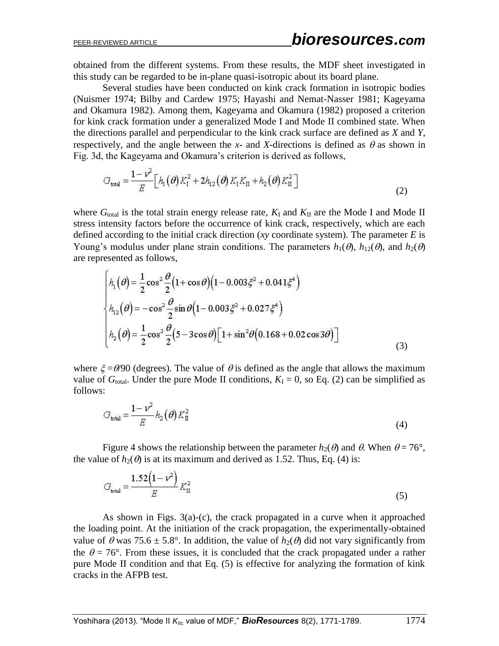obtained from the different systems. From these results, the MDF sheet investigated in this study can be regarded to be in-plane quasi-isotropic about its board plane.

Several studies have been conducted on kink crack formation in isotropic bodies (Nuismer 1974; Bilby and Cardew 1975; Hayashi and Nemat-Nasser 1981; Kageyama and Okamura 1982). Among them, Kageyama and Okamura (1982) proposed a criterion for kink crack formation under a generalized Mode I and Mode II combined state. When the directions parallel and perpendicular to the kink crack surface are defined as *X* and *Y*, respectively, and the angle between the *x*- and *X*-directions is defined as  $\theta$  as shown in Fig. 3d, the Kageyama and Okamura's criterion is derived as follows,

$$
G_{\text{total}} = \frac{1 - \nu^2}{E} \Big[ h_1(\theta) K_1^2 + 2h_{12}(\theta) K_1 K_{II} + h_2(\theta) K_{II}^2 \Big] \tag{2}
$$

where  $G_{total}$  is the total strain energy release rate,  $K_I$  and  $K_{II}$  are the Mode I and Mode II stress intensity factors before the occurrence of kink crack, respectively, which are each defined according to the initial crack direction (*xy* coordinate system). The parameter *E* is Young's modulus under plane strain conditions. The parameters  $h_1(\theta)$ ,  $h_{12}(\theta)$ , and  $h_2(\theta)$ are represented as follows,

$$
\begin{cases}\nh_1(\theta) = \frac{1}{2}\cos^2\frac{\theta}{2}(1+\cos\theta)(1-0.003\xi^2+0.041\xi^4) \\
h_{12}(\theta) = -\cos^2\frac{\theta}{2}\sin\theta(1-0.003\xi^2+0.027\xi^4) \\
h_2(\theta) = \frac{1}{2}\cos^2\frac{\theta}{2}(5-3\cos\theta)[1+\sin^2\theta(0.168+0.02\cos3\theta)]\n\end{cases}
$$
\n(3)

where  $\zeta = \theta/90$  (degrees). The value of  $\theta$  is defined as the angle that allows the maximum value of  $G_{\text{total}}$ . Under the pure Mode II conditions,  $K_{\text{I}} = 0$ , so Eq. (2) can be simplified as follows:

$$
G_{\text{total}} = \frac{1 - \nu^2}{E} h_2(\theta) K_{\text{II}}^2 \tag{4}
$$

Figure 4 shows the relationship between the parameter  $h_2(\theta)$  and  $\theta$ . When  $\theta = 76^{\circ}$ , the value of  $h_2(\theta)$  is at its maximum and derived as 1.52. Thus, Eq. (4) is:

$$
G_{\text{total}} = \frac{1.52(1 - \nu^2)}{E} K_{\text{II}}^2
$$
 (5)

As shown in Figs. 3(a)-(c), the crack propagated in a curve when it approached the loading point. At the initiation of the crack propagation, the experimentally-obtained value of  $\theta$  was 75.6  $\pm$  5.8°. In addition, the value of  $h_2(\theta)$  did not vary significantly from the  $\theta = 76^{\circ}$ . From these issues, it is concluded that the crack propagated under a rather pure Mode II condition and that Eq. (5) is effective for analyzing the formation of kink cracks in the AFPB test.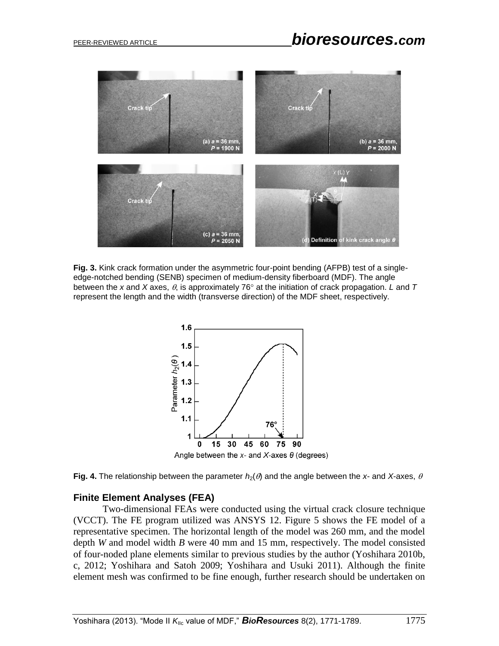

**Fig. 3.** Kink crack formation under the asymmetric four-point bending (AFPB) test of a singleedge-notched bending (SENB) specimen of medium-density fiberboard (MDF). The angle between the x and X axes,  $\theta$ , is approximately 76 $^{\circ}$  at the initiation of crack propagation. *L* and T represent the length and the width (transverse direction) of the MDF sheet, respectively.



**Fig. 4.** The relationship between the parameter  $h_2(\theta)$  and the angle between the x- and X-axes,  $\theta$ 

#### **Finite Element Analyses (FEA)**

Two-dimensional FEAs were conducted using the virtual crack closure technique (VCCT). The FE program utilized was ANSYS 12. Figure 5 shows the FE model of a representative specimen. The horizontal length of the model was 260 mm, and the model depth *W* and model width *B* were 40 mm and 15 mm, respectively. The model consisted of four-noded plane elements similar to previous studies by the author (Yoshihara 2010b, c, 2012; Yoshihara and Satoh 2009; Yoshihara and Usuki 2011). Although the finite element mesh was confirmed to be fine enough, further research should be undertaken on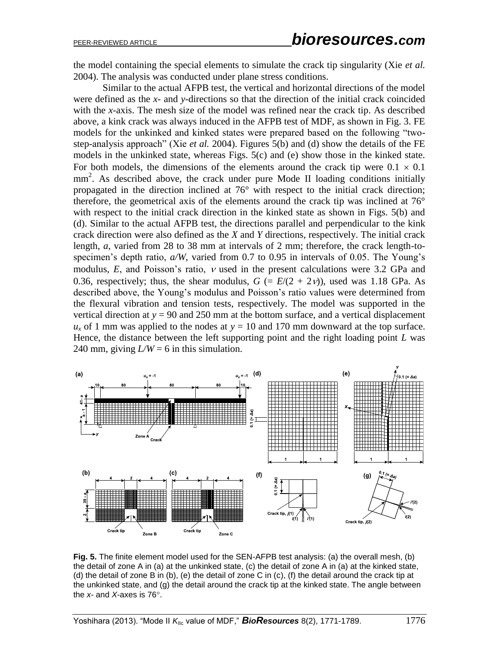the model containing the special elements to simulate the crack tip singularity (Xie *et al.* 2004). The analysis was conducted under plane stress conditions.

Similar to the actual AFPB test, the vertical and horizontal directions of the model were defined as the *x*- and *y*-directions so that the direction of the initial crack coincided with the *x*-axis. The mesh size of the model was refined near the crack tip. As described above, a kink crack was always induced in the AFPB test of MDF, as shown in Fig. 3. FE models for the unkinked and kinked states were prepared based on the following "twostep-analysis approach" (Xie *et al.* 2004). Figures 5(b) and (d) show the details of the FE models in the unkinked state, whereas Figs. 5(c) and (e) show those in the kinked state. For both models, the dimensions of the elements around the crack tip were  $0.1 \times 0.1$ mm<sup>2</sup>. As described above, the crack under pure Mode II loading conditions initially propagated in the direction inclined at 76° with respect to the initial crack direction; therefore, the geometrical axis of the elements around the crack tip was inclined at 76° with respect to the initial crack direction in the kinked state as shown in Figs. 5(b) and (d). Similar to the actual AFPB test, the directions parallel and perpendicular to the kink crack direction were also defined as the *X* and *Y* directions, respectively. The initial crack length, *a*, varied from 28 to 38 mm at intervals of 2 mm; therefore, the crack length-tospecimen's depth ratio, *a/W*, varied from 0.7 to 0.95 in intervals of 0.05. The Young's modulus,  $E$ , and Poisson's ratio,  $\nu$  used in the present calculations were 3.2 GPa and 0.36, respectively; thus, the shear modulus,  $G = E/(2 + 2v)$ , used was 1.18 GPa. As described above, the Young's modulus and Poisson's ratio values were determined from the flexural vibration and tension tests, respectively. The model was supported in the vertical direction at  $y = 90$  and 250 mm at the bottom surface, and a vertical displacement  $u_x$  of 1 mm was applied to the nodes at  $y = 10$  and 170 mm downward at the top surface. Hence, the distance between the left supporting point and the right loading point *L* was 240 mm, giving  $L/W = 6$  in this simulation.



**Fig. 5.** The finite element model used for the SEN-AFPB test analysis: (a) the overall mesh, (b) the detail of zone A in (a) at the unkinked state, (c) the detail of zone A in (a) at the kinked state, (d) the detail of zone B in (b), (e) the detail of zone C in (c), (f) the detail around the crack tip at the unkinked state, and (g) the detail around the crack tip at the kinked state. The angle between the *x*- and *X*-axes is 76°.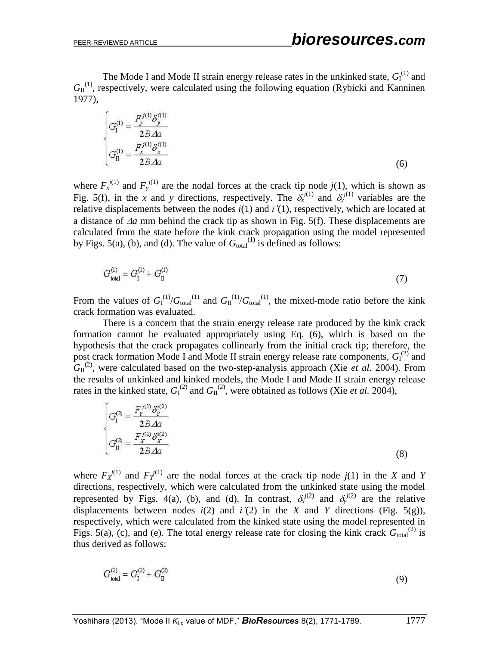The Mode I and Mode II strain energy release rates in the unkinked state,  $G_I^{(1)}$  and  $G_{II}^{(1)}$ , respectively, were calculated using the following equation (Rybicki and Kanninen 1977),

$$
\begin{cases}\nG_{\rm I}^{(1)} = \frac{F_{\rm J}^{j(1)} \delta_{\rm J}^{i(1)}}{2B \Delta z} \\
G_{\rm II}^{(1)} = \frac{F_{\rm X}^{j(1)} \delta_{\rm X}^{i(1)}}{2B \Delta z}\n\end{cases} \tag{6}
$$

where  $F_x^{j(1)}$  and  $F_y^{j(1)}$  are the nodal forces at the crack tip node  $j(1)$ , which is shown as Fig. 5(f), in the *x* and *y* directions, respectively. The  $\delta_x^{j(1)}$  and  $\delta_y^{j(1)}$  variables are the relative displacements between the nodes *i*(1) and *i'*(1), respectively, which are located at a distance of  $\Delta a$  mm behind the crack tip as shown in Fig. 5(f). These displacements are calculated from the state before the kink crack propagation using the model represented by Figs. 5(a), (b), and (d). The value of  $G<sub>total</sub><sup>(1)</sup>$  is defined as follows:

$$
G_{\text{total}}^{(1)} = G_{\text{I}}^{(1)} + G_{\text{II}}^{(1)} \tag{7}
$$

From the values of  $G_I^{(1)}/G_{total}^{(1)}$  and  $G_{II}^{(1)}/G_{total}^{(1)}$ , the mixed-mode ratio before the kink crack formation was evaluated.

There is a concern that the strain energy release rate produced by the kink crack formation cannot be evaluated appropriately using Eq. (6), which is based on the hypothesis that the crack propagates collinearly from the initial crack tip; therefore, the post crack formation Mode I and Mode II strain energy release rate components,  $G_I^{(2)}$  and  $G_{II}^{(2)}$ , were calculated based on the two-step-analysis approach (Xie *et al.* 2004). From the results of unkinked and kinked models, the Mode I and Mode II strain energy release rates in the kinked state,  $G_I^{(2)}$  and  $G_{II}^{(2)}$ , were obtained as follows (Xie *et al.* 2004),

$$
\begin{cases}\nG_1^{(2)} = \frac{F_y^{(1)} \delta_y^{(2)}}{2B \Delta z} \\
G_{II}^{(2)} = \frac{F_y^{(1)} \delta_x^{(2)}}{2B \Delta z}\n\end{cases}
$$
\n(8)

where  $F_X^{j(1)}$  and  $F_Y^{j(1)}$  are the nodal forces at the crack tip node  $j(1)$  in the *X* and *Y* directions, respectively, which were calculated from the unkinked state using the model represented by Figs. 4(a), (b), and (d). In contrast,  $\delta_x^{j(2)}$  and  $\delta_y^{j(2)}$  are the relative displacements between nodes  $i(2)$  and  $i'(2)$  in the *X* and *Y* directions (Fig. 5(g)), respectively, which were calculated from the kinked state using the model represented in Figs. 5(a), (c), and (e). The total energy release rate for closing the kink crack  $G_{\text{total}}^{(2)}$  is thus derived as follows:

$$
G_{\text{total}}^{(2)} = G_{\text{I}}^{(2)} + G_{\text{II}}^{(2)} \tag{9}
$$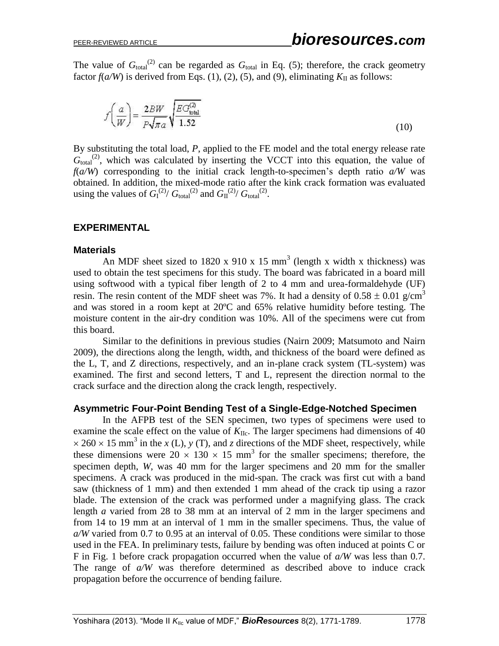The value of  $G_{\text{total}}^{(2)}$  can be regarded as  $G_{\text{total}}$  in Eq. (5); therefore, the crack geometry factor  $f(a/W)$  is derived from Eqs. (1), (2), (5), and (9), eliminating  $K_{II}$  as follows:

$$
f\left(\frac{a}{W}\right) = \frac{2BW}{P\sqrt{\pi a}} \sqrt{\frac{EG_{\text{total}}^{(2)}}{1.52}}
$$
\n(10)

By substituting the total load, *P*, applied to the FE model and the total energy release rate  $G<sub>total</sub><sup>(2)</sup>$ , which was calculated by inserting the VCCT into this equation, the value of *f*( $a/W$ ) corresponding to the initial crack length-to-specimen's depth ratio  $a/W$  was obtained. In addition, the mixed-mode ratio after the kink crack formation was evaluated using the values of  $G_I^{(2)}/G_{\text{total}}^{(2)}$  and  $G_{II}^{(2)}/G_{\text{total}}^{(2)}$ .

#### **EXPERIMENTAL**

#### **Materials**

An MDF sheet sized to 1820 x 910 x 15 mm<sup>3</sup> (length x width x thickness) was used to obtain the test specimens for this study. The board was fabricated in a board mill using softwood with a typical fiber length of 2 to 4 mm and urea-formaldehyde (UF) resin. The resin content of the MDF sheet was 7%. It had a density of  $0.58 \pm 0.01$  g/cm<sup>3</sup> and was stored in a room kept at 20ºC and 65% relative humidity before testing. The moisture content in the air-dry condition was 10%. All of the specimens were cut from this board.

Similar to the definitions in previous studies (Nairn 2009; Matsumoto and Nairn 2009), the directions along the length, width, and thickness of the board were defined as the L, T, and Z directions, respectively, and an in-plane crack system (TL-system) was examined. The first and second letters, T and L, represent the direction normal to the crack surface and the direction along the crack length, respectively.

#### **Asymmetric Four-Point Bending Test of a Single-Edge-Notched Specimen**

In the AFPB test of the SEN specimen, two types of specimens were used to examine the scale effect on the value of  $K_{\text{IIc}}$ . The larger specimens had dimensions of 40  $\times$  260  $\times$  15 mm<sup>3</sup> in the *x* (L), *y* (T), and *z* directions of the MDF sheet, respectively, while these dimensions were  $20 \times 130 \times 15$  mm<sup>3</sup> for the smaller specimens; therefore, the specimen depth, *W*, was 40 mm for the larger specimens and 20 mm for the smaller specimens. A crack was produced in the mid-span. The crack was first cut with a band saw (thickness of 1 mm) and then extended 1 mm ahead of the crack tip using a razor blade. The extension of the crack was performed under a magnifying glass. The crack length *a* varied from 28 to 38 mm at an interval of 2 mm in the larger specimens and from 14 to 19 mm at an interval of 1 mm in the smaller specimens. Thus, the value of *a/W* varied from 0.7 to 0.95 at an interval of 0.05. These conditions were similar to those used in the FEA. In preliminary tests, failure by bending was often induced at points C or F in Fig. 1 before crack propagation occurred when the value of *a/W* was less than 0.7. The range of *a/W* was therefore determined as described above to induce crack propagation before the occurrence of bending failure.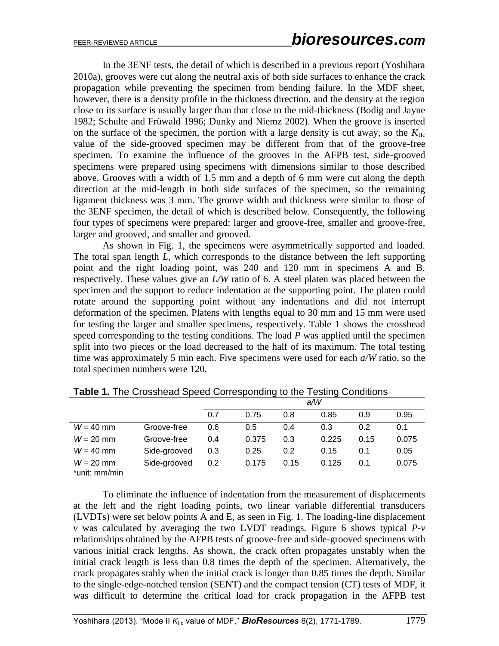In the 3ENF tests, the detail of which is described in a previous report (Yoshihara 2010a), grooves were cut along the neutral axis of both side surfaces to enhance the crack propagation while preventing the specimen from bending failure. In the MDF sheet, however, there is a density profile in the thickness direction, and the density at the region close to its surface is usually larger than that close to the mid-thickness (Bodig and Jayne 1982; Schulte and Früwald 1996; Dunky and Niemz 2002). When the groove is inserted on the surface of the specimen, the portion with a large density is cut away, so the  $K_{\text{Hc}}$ value of the side-grooved specimen may be different from that of the groove-free specimen. To examine the influence of the grooves in the AFPB test, side-grooved specimens were prepared using specimens with dimensions similar to those described above. Grooves with a width of 1.5 mm and a depth of 6 mm were cut along the depth direction at the mid-length in both side surfaces of the specimen, so the remaining ligament thickness was 3 mm. The groove width and thickness were similar to those of the 3ENF specimen, the detail of which is described below. Consequently, the following four types of specimens were prepared: larger and groove-free, smaller and groove-free, larger and grooved, and smaller and grooved.

As shown in Fig. 1, the specimens were asymmetrically supported and loaded. The total span length *L*, which corresponds to the distance between the left supporting point and the right loading point, was 240 and 120 mm in specimens A and B, respectively. These values give an *L/W* ratio of 6. A steel platen was placed between the specimen and the support to reduce indentation at the supporting point. The platen could rotate around the supporting point without any indentations and did not interrupt deformation of the specimen. Platens with lengths equal to 30 mm and 15 mm were used for testing the larger and smaller specimens, respectively. Table 1 shows the crosshead speed corresponding to the testing conditions. The load *P* was applied until the specimen split into two pieces or the load decreased to the half of its maximum. The total testing time was approximately 5 min each. Five specimens were used for each *a/W* ratio, so the total specimen numbers were 120.

|             |              | a/W |       |      |       |      |       |
|-------------|--------------|-----|-------|------|-------|------|-------|
|             |              | 0.7 | 0.75  | 0.8  | 0.85  | 0.9  | 0.95  |
| $W = 40$ mm | Groove-free  | 0.6 | 0.5   | 0.4  | 0.3   | 0.2  | 0.1   |
| $W = 20$ mm | Groove-free  | 0.4 | 0.375 | 0.3  | 0.225 | 0.15 | 0.075 |
| $W = 40$ mm | Side-grooved | 0.3 | 0.25  | 0.2  | 0.15  | 0.1  | 0.05  |
| $W = 20$ mm | Side-grooved | 0.2 | 0.175 | 0.15 | 0.125 | 0.1  | 0.075 |

**Table 1.** The Crosshead Speed Corresponding to the Testing Conditions

\*unit: mm/min

To eliminate the influence of indentation from the measurement of displacements at the left and the right loading points, two linear variable differential transducers (LVDTs) were set below points A and E, as seen in Fig. 1. The loading-line displacement *v* was calculated by averaging the two LVDT readings. Figure 6 shows typical *P-v* relationships obtained by the AFPB tests of groove-free and side-grooved specimens with various initial crack lengths. As shown, the crack often propagates unstably when the initial crack length is less than 0.8 times the depth of the specimen. Alternatively, the crack propagates stably when the initial crack is longer than 0.85 times the depth. Similar to the single-edge-notched tension (SENT) and the compact tension (CT) tests of MDF, it was difficult to determine the critical load for crack propagation in the AFPB test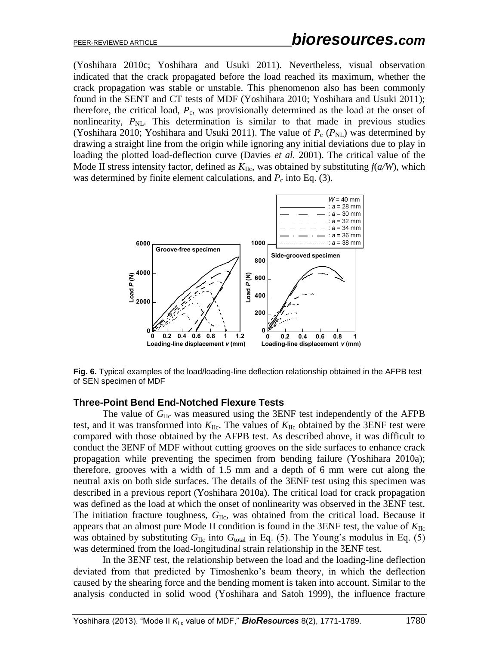(Yoshihara 2010c; Yoshihara and Usuki 2011). Nevertheless, visual observation indicated that the crack propagated before the load reached its maximum, whether the crack propagation was stable or unstable. This phenomenon also has been commonly found in the SENT and CT tests of MDF (Yoshihara 2010; Yoshihara and Usuki 2011); therefore, the critical load,  $P_c$ , was provisionally determined as the load at the onset of nonlinearity,  $P_{NL}$ . This determination is similar to that made in previous studies (Yoshihara 2010; Yoshihara and Usuki 2011). The value of  $P_c$  ( $P_{NL}$ ) was determined by drawing a straight line from the origin while ignoring any initial deviations due to play in loading the plotted load-deflection curve (Davies *et al.* 2001). The critical value of the Mode II stress intensity factor, defined as  $K_{\text{IIc}}$ , was obtained by substituting  $f(a/W)$ , which was determined by finite element calculations, and  $P_c$  into Eq. (3).



**Fig. 6.** Typical examples of the load/loading-line deflection relationship obtained in the AFPB test of SEN specimen of MDF

#### **Three-Point Bend End-Notched Flexure Tests**

The value of G<sub>IIc</sub> was measured using the 3ENF test independently of the AFPB test, and it was transformed into  $K_{\text{IIc}}$ . The values of  $K_{\text{IIc}}$  obtained by the 3ENF test were compared with those obtained by the AFPB test. As described above, it was difficult to conduct the 3ENF of MDF without cutting grooves on the side surfaces to enhance crack propagation while preventing the specimen from bending failure (Yoshihara 2010a); therefore, grooves with a width of 1.5 mm and a depth of 6 mm were cut along the neutral axis on both side surfaces. The details of the 3ENF test using this specimen was described in a previous report (Yoshihara 2010a). The critical load for crack propagation was defined as the load at which the onset of nonlinearity was observed in the 3ENF test. The initiation fracture toughness,  $G_{\text{IIc}}$ , was obtained from the critical load. Because it appears that an almost pure Mode II condition is found in the 3ENF test, the value of  $K_{\text{IIC}}$ was obtained by substituting  $G_{\text{IIc}}$  into  $G_{\text{total}}$  in Eq. (5). The Young's modulus in Eq. (5) was determined from the load-longitudinal strain relationship in the 3ENF test.

In the 3ENF test, the relationship between the load and the loading-line deflection deviated from that predicted by Timoshenko's beam theory, in which the deflection caused by the shearing force and the bending moment is taken into account. Similar to the analysis conducted in solid wood (Yoshihara and Satoh 1999), the influence fracture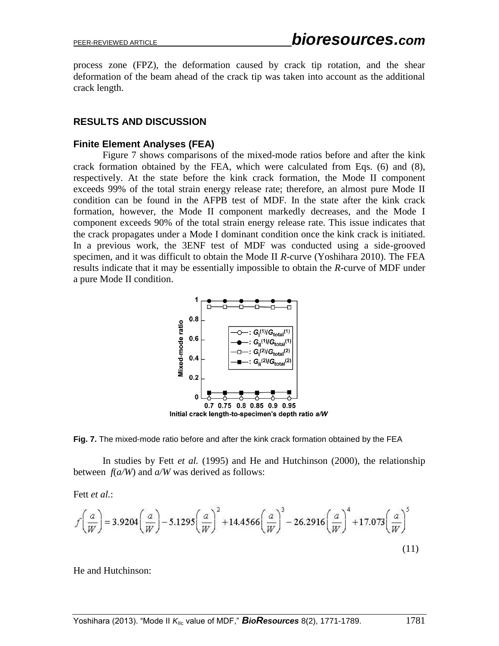process zone (FPZ), the deformation caused by crack tip rotation, and the shear deformation of the beam ahead of the crack tip was taken into account as the additional crack length.

#### **RESULTS AND DISCUSSION**

#### **Finite Element Analyses (FEA)**

Figure 7 shows comparisons of the mixed-mode ratios before and after the kink crack formation obtained by the FEA, which were calculated from Eqs. (6) and (8), respectively. At the state before the kink crack formation, the Mode II component exceeds 99% of the total strain energy release rate; therefore, an almost pure Mode II condition can be found in the AFPB test of MDF. In the state after the kink crack formation, however, the Mode II component markedly decreases, and the Mode I component exceeds 90% of the total strain energy release rate. This issue indicates that the crack propagates under a Mode I dominant condition once the kink crack is initiated. In a previous work, the 3ENF test of MDF was conducted using a side-grooved specimen, and it was difficult to obtain the Mode II *R*-curve (Yoshihara 2010). The FEA results indicate that it may be essentially impossible to obtain the *R*-curve of MDF under a pure Mode II condition.



**Fig. 7.** The mixed-mode ratio before and after the kink crack formation obtained by the FEA

In studies by Fett *et al.* (1995) and He and Hutchinson (2000), the relationship between *f*(*a/W*) and *a/W* was derived as follows:

Fett *et al.*:

$$
f\left(\frac{a}{W}\right) = 3.9204\left(\frac{a}{W}\right) - 5.1295\left(\frac{a}{W}\right)^2 + 14.4566\left(\frac{a}{W}\right)^3 - 26.2916\left(\frac{a}{W}\right)^4 + 17.073\left(\frac{a}{W}\right)^5
$$
\n(11)

He and Hutchinson: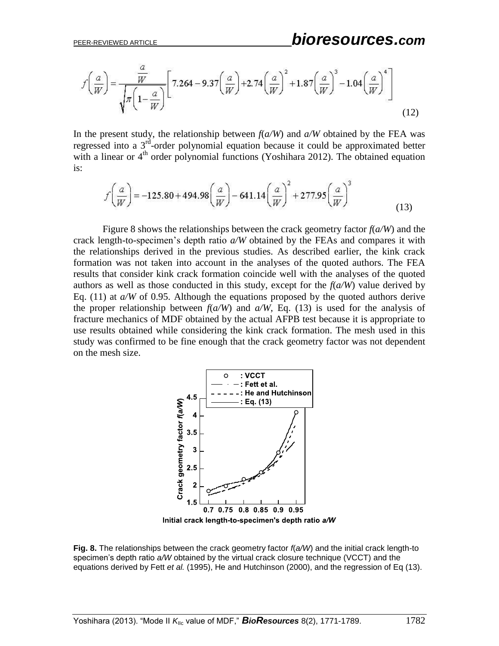$$
f\left(\frac{a}{W}\right) = \frac{\frac{a}{W}}{\sqrt{\pi \left(1 - \frac{a}{W}\right)}} \left[7.264 - 9.37\left(\frac{a}{W}\right) + 2.74\left(\frac{a}{W}\right)^2 + 1.87\left(\frac{a}{W}\right)^3 - 1.04\left(\frac{a}{W}\right)^4\right]
$$
(12)

In the present study, the relationship between  $f(a/W)$  and  $a/W$  obtained by the FEA was regressed into a 3<sup>rd</sup>-order polynomial equation because it could be approximated better with a linear or  $4<sup>th</sup>$  order polynomial functions (Yoshihara 2012). The obtained equation is:

$$
f\left(\frac{a}{W}\right) = -125.80 + 494.98\left(\frac{a}{W}\right) - 641.14\left(\frac{a}{W}\right)^2 + 277.95\left(\frac{a}{W}\right)^3\tag{13}
$$

Figure 8 shows the relationships between the crack geometry factor  $f(a/W)$  and the crack length-to-specimen's depth ratio *a/W* obtained by the FEAs and compares it with the relationships derived in the previous studies. As described earlier, the kink crack formation was not taken into account in the analyses of the quoted authors. The FEA results that consider kink crack formation coincide well with the analyses of the quoted authors as well as those conducted in this study, except for the *f*(*a/W*) value derived by Eq. (11) at  $a/W$  of 0.95. Although the equations proposed by the quoted authors derive the proper relationship between  $f(a/W)$  and  $a/W$ , Eq. (13) is used for the analysis of fracture mechanics of MDF obtained by the actual AFPB test because it is appropriate to use results obtained while considering the kink crack formation. The mesh used in this study was confirmed to be fine enough that the crack geometry factor was not dependent on the mesh size.



**Fig. 8.** The relationships between the crack geometry factor *f*(*a/W*) and the initial crack length-to specimen's depth ratio *a/W* obtained by the virtual crack closure technique (VCCT) and the equations derived by Fett *et al.* (1995), He and Hutchinson (2000), and the regression of Eq (13).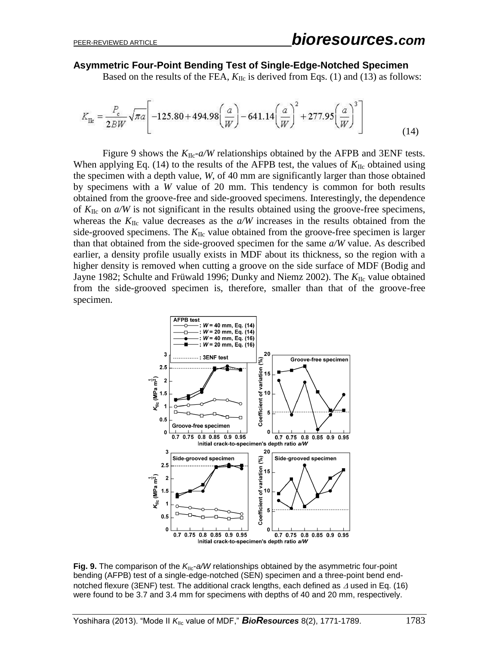#### **Asymmetric Four-Point Bending Test of Single-Edge-Notched Specimen**

Based on the results of the FEA,  $K_{\text{IIc}}$  is derived from Eqs. (1) and (13) as follows:

$$
K_{\text{ILc}} = \frac{P_c}{2BW} \sqrt{\pi a} \left[ -125.80 + 494.98 \left( \frac{a}{W} \right) - 641.14 \left( \frac{a}{W} \right)^2 + 277.95 \left( \frac{a}{W} \right)^3 \right] \tag{14}
$$

Figure 9 shows the  $K_{\text{IIc}}$ - $a/W$  relationships obtained by the AFPB and 3ENF tests. When applying Eq. (14) to the results of the AFPB test, the values of  $K_{\text{IIc}}$  obtained using the specimen with a depth value, *W*, of 40 mm are significantly larger than those obtained by specimens with a *W* value of 20 mm. This tendency is common for both results obtained from the groove-free and side-grooved specimens. Interestingly, the dependence of  $K_{\text{IIc}}$  on  $a/W$  is not significant in the results obtained using the groove-free specimens, whereas the  $K_{\text{ILC}}$  value decreases as the  $a/W$  increases in the results obtained from the side-grooved specimens. The  $K_{\text{IIc}}$  value obtained from the groove-free specimen is larger than that obtained from the side-grooved specimen for the same *a/W* value. As described earlier, a density profile usually exists in MDF about its thickness, so the region with a higher density is removed when cutting a groove on the side surface of MDF (Bodig and Jayne 1982; Schulte and Früwald 1996; Dunky and Niemz 2002). The  $K_{\text{IIc}}$  value obtained from the side-grooved specimen is, therefore, smaller than that of the groove-free specimen.



Fig. 9. The comparison of the K<sub>IIc</sub>-a/W relationships obtained by the asymmetric four-point bending (AFPB) test of a single-edge-notched (SEN) specimen and a three-point bend endnotched flexure (3ENF) test. The additional crack lengths, each defined as  $\Delta$  used in Eq. (16) were found to be 3.7 and 3.4 mm for specimens with depths of 40 and 20 mm, respectively.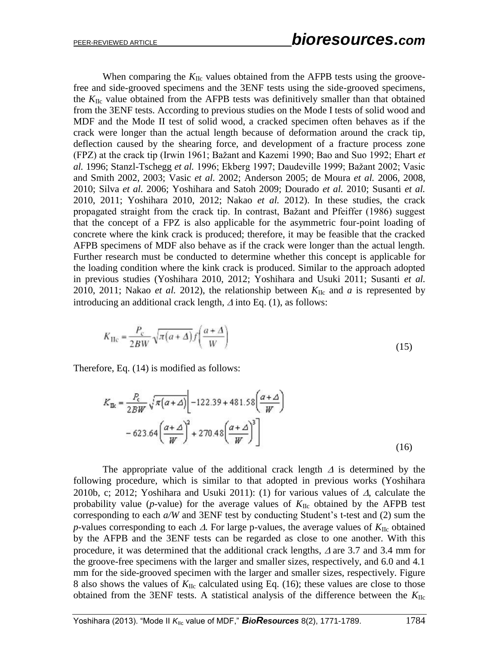When comparing the  $K_{\text{ILC}}$  values obtained from the AFPB tests using the groovefree and side-grooved specimens and the 3ENF tests using the side-grooved specimens, the  $K_{\text{IIc}}$  value obtained from the AFPB tests was definitively smaller than that obtained from the 3ENF tests. According to previous studies on the Mode I tests of solid wood and MDF and the Mode II test of solid wood, a cracked specimen often behaves as if the crack were longer than the actual length because of deformation around the crack tip, deflection caused by the shearing force, and development of a fracture process zone (FPZ) at the crack tip (Irwin 1961; Bažant and Kazemi 1990; Bao and Suo 1992; Ehart *et al.* 1996; Stanzl-Tschegg *et al.* 1996; Ekberg 1997; Daudeville 1999; Bažant 2002; Vasic and Smith 2002, 2003; Vasic *et al.* 2002; Anderson 2005; de Moura *et al.* 2006, 2008, 2010; Silva *et al.* 2006; Yoshihara and Satoh 2009; Dourado *et al.* 2010; Susanti *et al.* 2010, 2011; Yoshihara 2010, 2012; Nakao *et al.* 2012). In these studies, the crack propagated straight from the crack tip. In contrast, Bažant and Pfeiffer (1986) suggest that the concept of a FPZ is also applicable for the asymmetric four-point loading of concrete where the kink crack is produced; therefore, it may be feasible that the cracked AFPB specimens of MDF also behave as if the crack were longer than the actual length. Further research must be conducted to determine whether this concept is applicable for the loading condition where the kink crack is produced. Similar to the approach adopted in previous studies (Yoshihara 2010, 2012; Yoshihara and Usuki 2011; Susanti *et al.* 2010, 2011; Nakao *et al.* 2012), the relationship between  $K_{\text{IIc}}$  and *a* is represented by introducing an additional crack length,  $\Delta$  into Eq. (1), as follows:

$$
K_{\rm He} = \frac{P_{\rm c}}{2BW} \sqrt{\pi (a + \Delta)} f\left(\frac{a + \Delta}{W}\right) \tag{15}
$$

Therefore, Eq. (14) is modified as follows:

$$
K_{\text{ILC}} = \frac{P_c}{2BW} \sqrt{\pi (\alpha + \Delta)} \left[ -122.39 + 481.58 \left( \frac{\alpha + \Delta}{W} \right) \right]
$$
  
- 623.64  $\left( \frac{\alpha + \Delta}{W} \right)^2$  + 270.48  $\left( \frac{\alpha + \Delta}{W} \right)^3$  (16)

The appropriate value of the additional crack length  $\Delta$  is determined by the following procedure, which is similar to that adopted in previous works (Yoshihara 2010b, c; 2012; Yoshihara and Usuki 2011): (1) for various values of  $\Delta$ , calculate the probability value ( $p$ -value) for the average values of  $K_{\text{IIc}}$  obtained by the AFPB test corresponding to each *a/W* and 3ENF test by conducting Student's t-test and (2) sum the *p*-values corresponding to each  $\Delta$ . For large p-values, the average values of  $K_{\text{IIc}}$  obtained by the AFPB and the 3ENF tests can be regarded as close to one another. With this procedure, it was determined that the additional crack lengths,  $\Delta$  are 3.7 and 3.4 mm for the groove-free specimens with the larger and smaller sizes, respectively, and 6.0 and 4.1 mm for the side-grooved specimen with the larger and smaller sizes, respectively. Figure 8 also shows the values of  $K_{\text{IIc}}$  calculated using Eq. (16); these values are close to those obtained from the 3ENF tests. A statistical analysis of the difference between the  $K_{\text{IIC}}$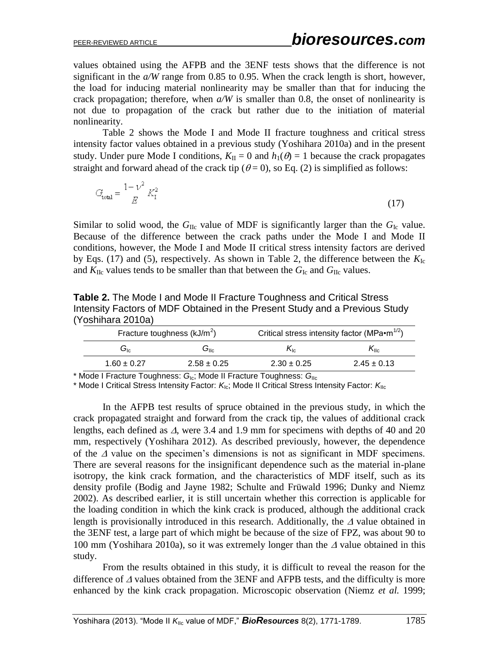values obtained using the AFPB and the 3ENF tests shows that the difference is not significant in the *a/W* range from 0.85 to 0.95. When the crack length is short, however, the load for inducing material nonlinearity may be smaller than that for inducing the crack propagation; therefore, when *a/W* is smaller than 0.8, the onset of nonlinearity is not due to propagation of the crack but rather due to the initiation of material nonlinearity.

Table 2 shows the Mode I and Mode II fracture toughness and critical stress intensity factor values obtained in a previous study (Yoshihara 2010a) and in the present study. Under pure Mode I conditions,  $K_{II} = 0$  and  $h_1(\theta) = 1$  because the crack propagates straight and forward ahead of the crack tip ( $\theta = 0$ ), so Eq. (2) is simplified as follows:

$$
G_{\text{total}} = \frac{1 - \nu^2}{E} K_{\text{I}}^2 \tag{17}
$$

Similar to solid wood, the  $G_{\text{IIc}}$  value of MDF is significantly larger than the  $G_{\text{Ic}}$  value. Because of the difference between the crack paths under the Mode I and Mode II conditions, however, the Mode I and Mode II critical stress intensity factors are derived by Eqs. (17) and (5), respectively. As shown in Table 2, the difference between the  $K_{\text{Ic}}$ and  $K_{\text{IIc}}$  values tends to be smaller than that between the  $G_{\text{Ic}}$  and  $G_{\text{IIc}}$  values.

**Table 2.** The Mode I and Mode II Fracture Toughness and Critical Stress Intensity Factors of MDF Obtained in the Present Study and a Previous Study (Yoshihara 2010a)

| Fracture toughness $(kJ/m2)$ |                 | Critical stress intensity factor (MPa $\cdot$ m <sup>1/2</sup> ) |                 |  |  |
|------------------------------|-----------------|------------------------------------------------------------------|-----------------|--|--|
| $G_{1c}$                     | ان              | $N_{\rm lc}$                                                     | $K_{\rm llc}$   |  |  |
| $1.60 \pm 0.27$              | $2.58 \pm 0.25$ | $2.30 \pm 0.25$                                                  | $2.45 \pm 0.13$ |  |  |

\* Mode I Fracture Toughness: *G*Ic; Mode II Fracture Toughness: *G*IIc

\* Mode I Critical Stress Intensity Factor: K<sub>Ic</sub>; Mode II Critical Stress Intensity Factor: KI<sub>Ic</sub>

In the AFPB test results of spruce obtained in the previous study, in which the crack propagated straight and forward from the crack tip, the values of additional crack lengths, each defined as  $\Delta$ , were 3.4 and 1.9 mm for specimens with depths of 40 and 20 mm, respectively (Yoshihara 2012). As described previously, however, the dependence of the  $\Delta$  value on the specimen's dimensions is not as significant in MDF specimens. There are several reasons for the insignificant dependence such as the material in-plane isotropy, the kink crack formation, and the characteristics of MDF itself, such as its density profile (Bodig and Jayne 1982; Schulte and Früwald 1996; Dunky and Niemz 2002). As described earlier, it is still uncertain whether this correction is applicable for the loading condition in which the kink crack is produced, although the additional crack length is provisionally introduced in this research. Additionally, the  $\Delta$  value obtained in the 3ENF test, a large part of which might be because of the size of FPZ, was about 90 to 100 mm (Yoshihara 2010a), so it was extremely longer than the  $\Delta$  value obtained in this study.

From the results obtained in this study, it is difficult to reveal the reason for the difference of  $\Delta$  values obtained from the 3ENF and AFPB tests, and the difficulty is more enhanced by the kink crack propagation. Microscopic observation (Niemz *et al.* 1999;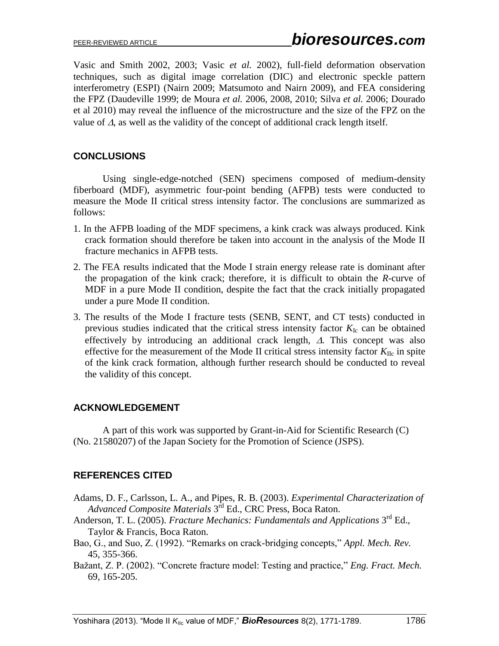Vasic and Smith 2002, 2003; Vasic *et al.* 2002), full-field deformation observation techniques, such as digital image correlation (DIC) and electronic speckle pattern interferometry (ESPI) (Nairn 2009; Matsumoto and Nairn 2009), and FEA considering the FPZ (Daudeville 1999; de Moura *et al.* 2006, 2008, 2010; Silva *et al.* 2006; Dourado et al 2010) may reveal the influence of the microstructure and the size of the FPZ on the value of  $\Delta$ , as well as the validity of the concept of additional crack length itself.

## **CONCLUSIONS**

Using single-edge-notched (SEN) specimens composed of medium-density fiberboard (MDF), asymmetric four-point bending (AFPB) tests were conducted to measure the Mode II critical stress intensity factor. The conclusions are summarized as follows:

- 1. In the AFPB loading of the MDF specimens, a kink crack was always produced. Kink crack formation should therefore be taken into account in the analysis of the Mode II fracture mechanics in AFPB tests.
- 2. The FEA results indicated that the Mode I strain energy release rate is dominant after the propagation of the kink crack; therefore, it is difficult to obtain the *R*-curve of MDF in a pure Mode II condition, despite the fact that the crack initially propagated under a pure Mode II condition.
- 3. The results of the Mode I fracture tests (SENB, SENT, and CT tests) conducted in previous studies indicated that the critical stress intensity factor  $K_{Ic}$  can be obtained effectively by introducing an additional crack length,  $\Delta$ . This concept was also effective for the measurement of the Mode II critical stress intensity factor  $K_{\text{ILC}}$  in spite of the kink crack formation, although further research should be conducted to reveal the validity of this concept.

## **ACKNOWLEDGEMENT**

A part of this work was supported by Grant-in-Aid for Scientific Research (C) (No. 21580207) of the Japan Society for the Promotion of Science (JSPS).

## **REFERENCES CITED**

- Adams, D. F., Carlsson, L. A., and Pipes, R. B. (2003). *Experimental Characterization of*  Advanced Composite Materials 3<sup>rd</sup> Ed., CRC Press, Boca Raton.
- Anderson, T. L. (2005). *Fracture Mechanics: Fundamentals and Applications* 3<sup>rd</sup> Ed., Taylor & Francis, Boca Raton.
- Bao, G., and Suo, Z. (1992). "Remarks on crack-bridging concepts," *Appl. Mech. Rev.* 45, 355-366.
- Bažant, Z. P. (2002). "Concrete fracture model: Testing and practice," *Eng. Fract. Mech.* 69, 165-205.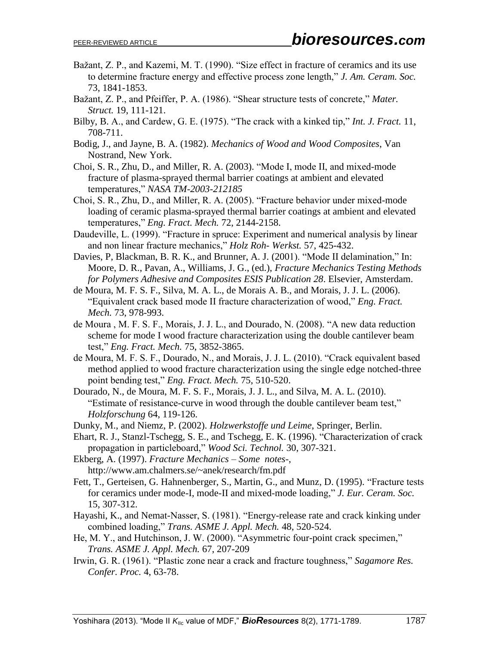- Bažant, Z. P., and Kazemi, M. T. (1990). "Size effect in fracture of ceramics and its use to determine fracture energy and effective process zone length," *J. Am. Ceram. Soc.* 73, 1841-1853.
- Bažant, Z. P., and Pfeiffer, P. A. (1986). "Shear structure tests of concrete," *Mater. Struct.* 19, 111-121.
- Bilby, B. A., and Cardew, G. E. (1975). "The crack with a kinked tip," *Int. J. Fract.* 11, 708-711.
- Bodig, J., and Jayne, B. A. (1982). *Mechanics of Wood and Wood Composites*, Van Nostrand, New York.
- Choi, S. R., Zhu, D., and Miller, R. A. (2003). "Mode I, mode II, and mixed-mode fracture of plasma-sprayed thermal barrier coatings at ambient and elevated temperatures," *NASA TM-2003-212185*
- Choi, S. R., Zhu, D., and Miller, R. A. (2005). "Fracture behavior under mixed-mode loading of ceramic plasma-sprayed thermal barrier coatings at ambient and elevated temperatures," *Eng. Fract. Mech.* 72, 2144-2158.
- Daudeville, L. (1999). "Fracture in spruce: Experiment and numerical analysis by linear and non linear fracture mechanics," *Holz Roh- Werkst.* 57, 425-432.
- Davies, P, Blackman, B. R. K., and Brunner, A. J. (2001). "Mode II delamination," In: Moore, D. R., Pavan, A., Williams, J. G., (ed.), *Fracture Mechanics Testing Methods for Polymers Adhesive and Composites ESIS Publication 28*. Elsevier, Amsterdam.
- de Moura, M. F. S. F., Silva, M. A. L., de Morais A. B., and Morais, J. J. L. (2006). "Equivalent crack based mode II fracture characterization of wood," *Eng. Fract. Mech.* 73, 978-993.
- de Moura , M. F. S. F., Morais, J. J. L., and Dourado, N. (2008). "A new data reduction scheme for mode I wood fracture characterization using the double cantilever beam test," *Eng. Fract. Mech.* 75, 3852-3865.
- de Moura, M. F. S. F., Dourado, N., and Morais, J. J. L. (2010). "Crack equivalent based method applied to wood fracture characterization using the single edge notched-three point bending test," *Eng. Fract. Mech.* 75, 510-520.
- Dourado, N., de Moura, M. F. S. F., Morais, J. J. L., and Silva, M. A. L. (2010). "Estimate of resistance-curve in wood through the double cantilever beam test," *Holzforschung* 64, 119-126.
- Dunky, M., and Niemz, P. (2002). *Holzwerkstoffe und Leime*, Springer, Berlin.
- Ehart, R. J., Stanzl-Tschegg, S. E., and Tschegg, E. K. (1996). "Characterization of crack propagation in particleboard," *Wood Sci. Technol.* 30, 307-321.
- Ekberg, A. (1997). *Fracture Mechanics – Some notes-*, http://www.am.chalmers.se/~anek/research/fm.pdf
- Fett, T., Gerteisen, G. Hahnenberger, S., Martin, G., and Munz, D. (1995). "Fracture tests for ceramics under mode-I, mode-II and mixed-mode loading," *J. Eur. Ceram. Soc.* 15, 307-312.
- Hayashi, K., and Nemat-Nasser, S. (1981). "Energy-release rate and crack kinking under combined loading," *Trans. ASME J. Appl. Mech.* 48, 520-524.
- He, M. Y., and Hutchinson, J. W. (2000). "Asymmetric four-point crack specimen," *Trans. ASME J. Appl. Mech.* 67, 207-209
- Irwin, G. R. (1961). "Plastic zone near a crack and fracture toughness," *Sagamore Res. Confer. Proc.* 4, 63-78.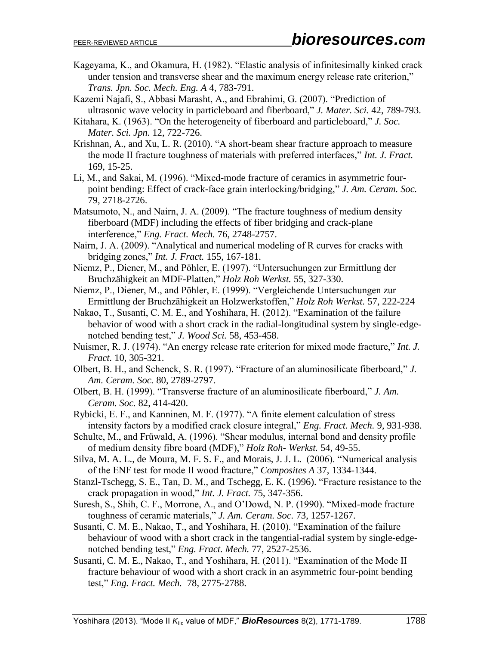- Kageyama, K., and Okamura, H. (1982). "Elastic analysis of infinitesimally kinked crack under tension and transverse shear and the maximum energy release rate criterion," *Trans. Jpn. Soc. Mech. Eng. A* 4, 783-791.
- Kazemi Najafi, S., Abbasi Marasht, A., and Ebrahimi, G. (2007). "Prediction of ultrasonic wave velocity in particleboard and fiberboard," *J. Mater. Sci.* 42, 789-793.
- Kitahara, K. (1963). "On the heterogeneity of fiberboard and particleboard," *J. Soc. Mater. Sci. Jpn.* 12, 722-726.
- Krishnan, A., and Xu, L. R. (2010). "A short-beam shear fracture approach to measure the mode II fracture toughness of materials with preferred interfaces," *Int. J. Fract.* 169, 15-25.
- Li, M., and Sakai, M. (1996). "Mixed-mode fracture of ceramics in asymmetric fourpoint bending: Effect of crack-face grain interlocking/bridging," *J. Am. Ceram. Soc.* 79, 2718-2726.
- Matsumoto, N., and Nairn, J. A. (2009). "The fracture toughness of medium density fiberboard (MDF) including the effects of fiber bridging and crack-plane interference," *Eng. Fract. Mech.* 76, 2748-2757.
- Nairn, J. A. (2009). "Analytical and numerical modeling of R curves for cracks with bridging zones," *Int. J. Fract.* 155, 167-181.
- Niemz, P., Diener, M., and Pöhler, E. (1997). "Untersuchungen zur Ermittlung der Bruchzähigkeit an MDF-Platten," *Holz Roh Werkst.* 55, 327-330.
- Niemz, P., Diener, M., and Pöhler, E. (1999). "Vergleichende Untersuchungen zur Ermittlung der Bruchzähigkeit an Holzwerkstoffen," *Holz Roh Werkst.* 57, 222-224
- Nakao, T., Susanti, C. M. E., and Yoshihara, H. (2012). "Examination of the failure behavior of wood with a short crack in the radial-longitudinal system by single-edgenotched bending test," *J. Wood Sci.* 58, 453-458.
- Nuismer, R. J. (1974). "An energy release rate criterion for mixed mode fracture," *Int. J. Fract.* 10, 305-321.
- Olbert, B. H., and Schenck, S. R. (1997). "Fracture of an aluminosilicate fiberboard," *J. Am. Ceram. Soc.* 80, 2789-2797.
- Olbert, B. H. (1999). "Transverse fracture of an aluminosilicate fiberboard," *J. Am. Ceram. Soc.* 82, 414-420.
- Rybicki, E. F., and Kanninen, M. F. (1977). "A finite element calculation of stress intensity factors by a modified crack closure integral," *Eng. Fract. Mech.* 9, 931-938.
- Schulte, M., and Früwald, A. (1996). "Shear modulus, internal bond and density profile of medium density fibre board (MDF)," *Holz Roh- Werkst.* 54, 49-55.
- Silva, M. A. L., de Moura, M. F. S. F., and Morais, J. J. L. (2006). "Numerical analysis of the ENF test for mode II wood fracture," *Composites A* 37, 1334-1344.
- Stanzl-Tschegg, S. E., Tan, D. M., and Tschegg, E. K. (1996). "Fracture resistance to the crack propagation in wood," *Int. J. Fract.* 75, 347-356.
- Suresh, S., Shih, C. F., Morrone, A., and O'Dowd, N. P. (1990). "Mixed-mode fracture toughness of ceramic materials," *J. Am. Ceram. Soc.* 73, 1257-1267.
- Susanti, C. M. E., Nakao, T., and Yoshihara, H. (2010). "Examination of the failure behaviour of wood with a short crack in the tangential-radial system by single-edgenotched bending test," *Eng. Fract. Mech.* 77, 2527-2536.
- Susanti, C. M. E., Nakao, T., and Yoshihara, H. (2011). "Examination of the Mode II fracture behaviour of wood with a short crack in an asymmetric four-point bending test," *Eng. Fract. Mech.* 78, 2775-2788.